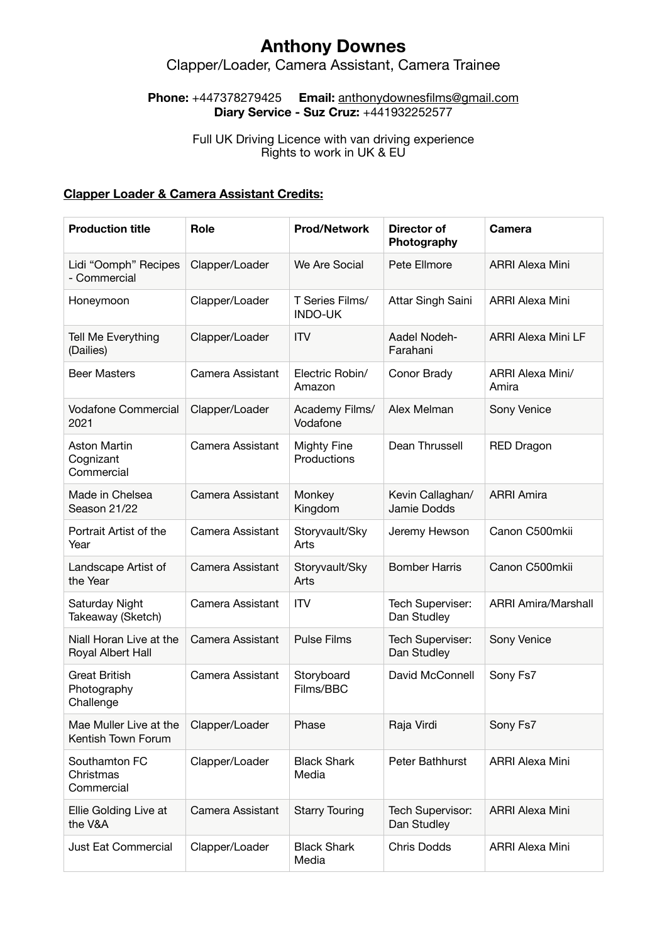# **Anthony Downes**

### Clapper/Loader, Camera Assistant, Camera Trainee

#### **Phone:** +447378279425 **Email:** [anthonydownesfilms@gmail.com](mailto:anthonydownesfilms@gmail.com) **Diary Service - Suz Cruz:** +441932252577

#### Full UK Driving Licence with van driving experience Rights to work in UK & EU

### **Clapper Loader & Camera Assistant Credits:**

| <b>Production title</b>                          | <b>Role</b>      | <b>Prod/Network</b>               | <b>Director of</b><br>Photography | <b>Camera</b>              |
|--------------------------------------------------|------------------|-----------------------------------|-----------------------------------|----------------------------|
| Lidi "Oomph" Recipes<br>- Commercial             | Clapper/Loader   | We Are Social                     | Pete Ellmore                      | <b>ARRI Alexa Mini</b>     |
| Honeymoon                                        | Clapper/Loader   | T Series Films/<br><b>INDO-UK</b> | Attar Singh Saini                 | <b>ARRI Alexa Mini</b>     |
| Tell Me Everything<br>(Dailies)                  | Clapper/Loader   | <b>ITV</b>                        | Aadel Nodeh-<br>Farahani          | <b>ARRI Alexa Mini LF</b>  |
| <b>Beer Masters</b>                              | Camera Assistant | Electric Robin/<br>Amazon         | Conor Brady                       | ARRI Alexa Mini/<br>Amira  |
| <b>Vodafone Commercial</b><br>2021               | Clapper/Loader   | Academy Films/<br>Vodafone        | Alex Melman                       | Sony Venice                |
| <b>Aston Martin</b><br>Cognizant<br>Commercial   | Camera Assistant | Mighty Fine<br>Productions        | Dean Thrussell                    | <b>RED Dragon</b>          |
| Made in Chelsea<br>Season 21/22                  | Camera Assistant | Monkey<br>Kingdom                 | Kevin Callaghan/<br>Jamie Dodds   | <b>ARRI Amira</b>          |
| Portrait Artist of the<br>Year                   | Camera Assistant | Storyvault/Sky<br>Arts            | Jeremy Hewson                     | Canon C500mkii             |
| Landscape Artist of<br>the Year                  | Camera Assistant | Storyvault/Sky<br>Arts            | <b>Bomber Harris</b>              | Canon C500mkii             |
| Saturday Night<br>Takeaway (Sketch)              | Camera Assistant | <b>ITV</b>                        | Tech Superviser:<br>Dan Studley   | <b>ARRI Amira/Marshall</b> |
| Niall Horan Live at the<br>Royal Albert Hall     | Camera Assistant | <b>Pulse Films</b>                | Tech Superviser:<br>Dan Studley   | Sony Venice                |
| <b>Great British</b><br>Photography<br>Challenge | Camera Assistant | Storyboard<br>Films/BBC           | David McConnell                   | Sony Fs7                   |
| Mae Muller Live at the<br>Kentish Town Forum     | Clapper/Loader   | Phase                             | Raja Virdi                        | Sony Fs7                   |
| Southamton FC<br>Christmas<br>Commercial         | Clapper/Loader   | <b>Black Shark</b><br>Media       | Peter Bathhurst                   | <b>ARRI Alexa Mini</b>     |
| Ellie Golding Live at<br>the V&A                 | Camera Assistant | <b>Starry Touring</b>             | Tech Supervisor:<br>Dan Studley   | <b>ARRI Alexa Mini</b>     |
| Just Eat Commercial                              | Clapper/Loader   | <b>Black Shark</b><br>Media       | <b>Chris Dodds</b>                | <b>ARRI Alexa Mini</b>     |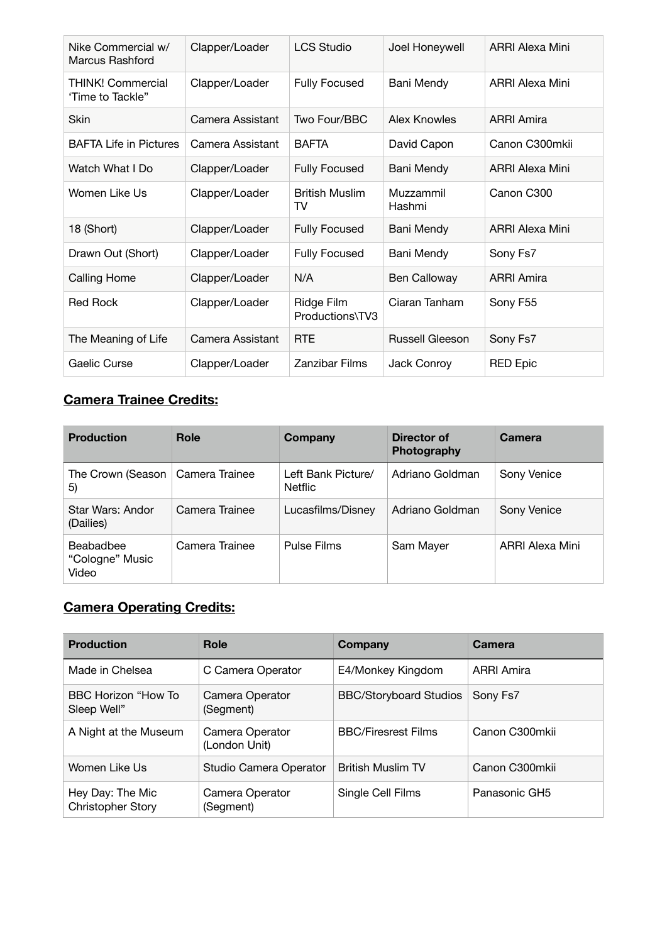| Nike Commercial w/<br>Marcus Rashford | Clapper/Loader   | <b>LCS Studio</b>             | Joel Honeywell         | <b>ARRI Alexa Mini</b> |
|---------------------------------------|------------------|-------------------------------|------------------------|------------------------|
| THINK! Commercial<br>'Time to Tackle" | Clapper/Loader   | <b>Fully Focused</b>          | Bani Mendy             | <b>ARRI Alexa Mini</b> |
| <b>Skin</b>                           | Camera Assistant | Two Four/BBC                  | Alex Knowles           | <b>ARRI Amira</b>      |
| <b>BAFTA Life in Pictures</b>         | Camera Assistant | <b>BAFTA</b>                  | David Capon            | Canon C300mkii         |
| Watch What I Do                       | Clapper/Loader   | <b>Fully Focused</b>          | Bani Mendy             | ARRI Alexa Mini        |
| Women Like Us                         | Clapper/Loader   | <b>British Muslim</b><br>TV   | Muzzammil<br>Hashmi    | Canon C300             |
| 18 (Short)                            | Clapper/Loader   | <b>Fully Focused</b>          | Bani Mendy             | ARRI Alexa Mini        |
| Drawn Out (Short)                     | Clapper/Loader   | <b>Fully Focused</b>          | Bani Mendy             | Sony Fs7               |
| <b>Calling Home</b>                   | Clapper/Loader   | N/A                           | <b>Ben Calloway</b>    | <b>ARRI Amira</b>      |
| Red Rock                              | Clapper/Loader   | Ridge Film<br>Productions\TV3 | Ciaran Tanham          | Sony F55               |
| The Meaning of Life                   | Camera Assistant | <b>RTE</b>                    | <b>Russell Gleeson</b> | Sony Fs7               |
| Gaelic Curse                          | Clapper/Loader   | <b>Zanzibar Films</b>         | Jack Conroy            | <b>RED Epic</b>        |

# **Camera Trainee Credits:**

| <b>Production</b>                        | <b>Role</b>    | Company                              | Director of<br>Photography | Camera          |
|------------------------------------------|----------------|--------------------------------------|----------------------------|-----------------|
| The Crown (Season   Camera Trainee<br>5) |                | Left Bank Picture/<br><b>Netflic</b> | Adriano Goldman            | Sony Venice     |
| Star Wars: Andor<br>(Dailies)            | Camera Trainee | Lucasfilms/Disney                    | Adriano Goldman            | Sony Venice     |
| Beabadbee<br>"Cologne" Music<br>Video    | Camera Trainee | Pulse Films                          | Sam Mayer                  | ARRI Alexa Mini |

## **Camera Operating Credits:**

| <b>Production</b>                     | Role                             | Company                       | Camera            |
|---------------------------------------|----------------------------------|-------------------------------|-------------------|
| Made in Chelsea                       | C Camera Operator                | E4/Monkey Kingdom             | <b>ARRI Amira</b> |
| BBC Horizon "How To<br>Sleep Well"    | Camera Operator<br>(Segment)     | <b>BBC/Storyboard Studios</b> | Sony Fs7          |
| A Night at the Museum                 | Camera Operator<br>(London Unit) | <b>BBC/Firesrest Films</b>    | Canon C300mkii    |
| Women Like Us                         | Studio Camera Operator           | <b>British Muslim TV</b>      | Canon C300mkii    |
| Hey Day: The Mic<br>Christopher Story | Camera Operator<br>(Segment)     | Single Cell Films             | Panasonic GH5     |